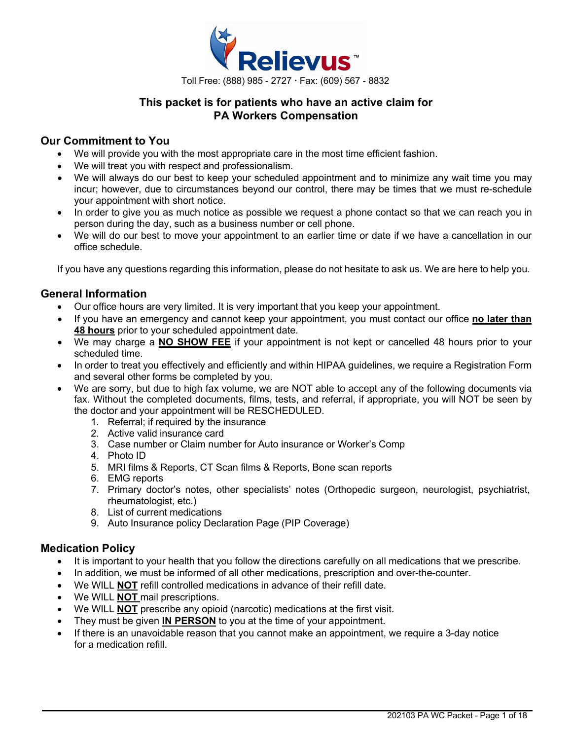

## **This packet is for patients who have an active claim for PA Workers Compensation**

### **Our Commitment to You**

- We will provide you with the most appropriate care in the most time efficient fashion.
- We will treat you with respect and professionalism.
- We will always do our best to keep your scheduled appointment and to minimize any wait time you may incur; however, due to circumstances beyond our control, there may be times that we must re-schedule your appointment with short notice.
- In order to give you as much notice as possible we request a phone contact so that we can reach you in person during the day, such as a business number or cell phone.
- We will do our best to move your appointment to an earlier time or date if we have a cancellation in our office schedule.

If you have any questions regarding this information, please do not hesitate to ask us. We are here to help you.

### **General Information**

- Our office hours are very limited. It is very important that you keep your appointment.
- If you have an emergency and cannot keep your appointment, you must contact our office **no later than 48 hours** prior to your scheduled appointment date.
- We may charge a **NO SHOW FEE** if your appointment is not kept or cancelled 48 hours prior to your scheduled time.
- In order to treat you effectively and efficiently and within HIPAA guidelines, we require a Registration Form and several other forms be completed by you.
- We are sorry, but due to high fax volume, we are NOT able to accept any of the following documents via fax. Without the completed documents, films, tests, and referral, if appropriate, you will NOT be seen by the doctor and your appointment will be RESCHEDULED.
	- 1. Referral; if required by the insurance
	- 2. Active valid insurance card
	- 3. Case number or Claim number for Auto insurance or Worker's Comp
	- 4. Photo ID
	- 5. MRI films & Reports, CT Scan films & Reports, Bone scan reports
	- 6. EMG reports
	- 7. Primary doctor's notes, other specialists' notes (Orthopedic surgeon, neurologist, psychiatrist, rheumatologist, etc.)
	- 8. List of current medications
	- 9. Auto Insurance policy Declaration Page (PIP Coverage)

### **Medication Policy**

- It is important to your health that you follow the directions carefully on all medications that we prescribe.
- In addition, we must be informed of all other medications, prescription and over-the-counter.
- We WILL **NOT** refill controlled medications in advance of their refill date.
- We WILL **NOT** mail prescriptions.
- We WILL **NOT** prescribe any opioid (narcotic) medications at the first visit.
- They must be given **IN PERSON** to you at the time of your appointment.
- If there is an unavoidable reason that you cannot make an appointment, we require a 3-day notice for a medication refill.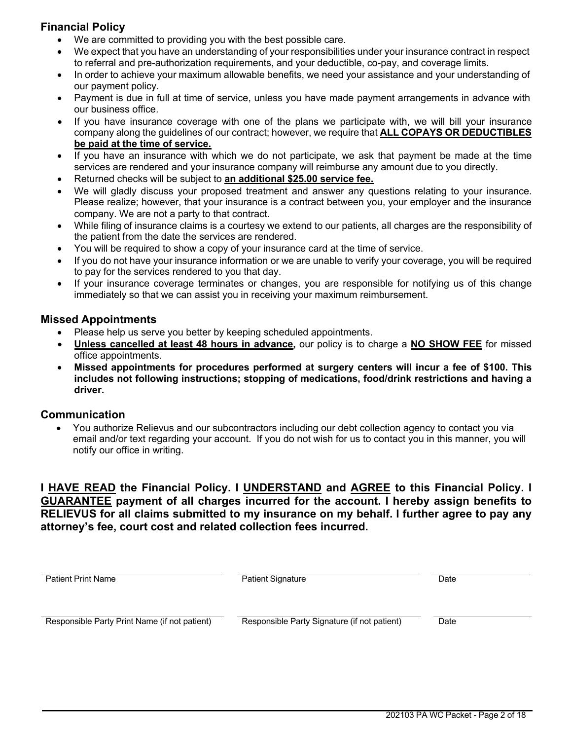## **Financial Policy**

- We are committed to providing you with the best possible care.
- We expect that you have an understanding of your responsibilities under your insurance contract in respect to referral and pre-authorization requirements, and your deductible, co-pay, and coverage limits.
- In order to achieve your maximum allowable benefits, we need your assistance and your understanding of our payment policy.
- Payment is due in full at time of service, unless you have made payment arrangements in advance with our business office.
- If you have insurance coverage with one of the plans we participate with, we will bill your insurance company along the guidelines of our contract; however, we require that **ALL COPAYS OR DEDUCTIBLES be paid at the time of service.**
- If you have an insurance with which we do not participate, we ask that payment be made at the time services are rendered and your insurance company will reimburse any amount due to you directly.
- Returned checks will be subject to **an additional \$25.00 service fee.**
- We will gladly discuss your proposed treatment and answer any questions relating to your insurance. Please realize; however, that your insurance is a contract between you, your employer and the insurance company. We are not a party to that contract.
- While filing of insurance claims is a courtesy we extend to our patients, all charges are the responsibility of the patient from the date the services are rendered.
- You will be required to show a copy of your insurance card at the time of service.
- If you do not have your insurance information or we are unable to verify your coverage, you will be required to pay for the services rendered to you that day.
- If your insurance coverage terminates or changes, you are responsible for notifying us of this change immediately so that we can assist you in receiving your maximum reimbursement.

### **Missed Appointments**

- Please help us serve you better by keeping scheduled appointments.
- **Unless cancelled at least 48 hours in advance,** our policy is to charge a **NO SHOW FEE** for missed office appointments.
- **Missed appointments for procedures performed at surgery centers will incur a fee of \$100. This includes not following instructions; stopping of medications, food/drink restrictions and having a driver.**

### **Communication**

• You authorize Relievus and our subcontractors including our debt collection agency to contact you via email and/or text regarding your account. If you do not wish for us to contact you in this manner, you will notify our office in writing.

**I HAVE READ the Financial Policy. I UNDERSTAND and AGREE to this Financial Policy. I GUARANTEE payment of all charges incurred for the account. I hereby assign benefits to RELIEVUS for all claims submitted to my insurance on my behalf. I further agree to pay any attorney's fee, court cost and related collection fees incurred.**

| <b>Patient Print Name</b>                     | <b>Patient Signature</b>                     | Date |
|-----------------------------------------------|----------------------------------------------|------|
|                                               |                                              |      |
| Responsible Party Print Name (if not patient) | Responsible Party Signature (if not patient) | Date |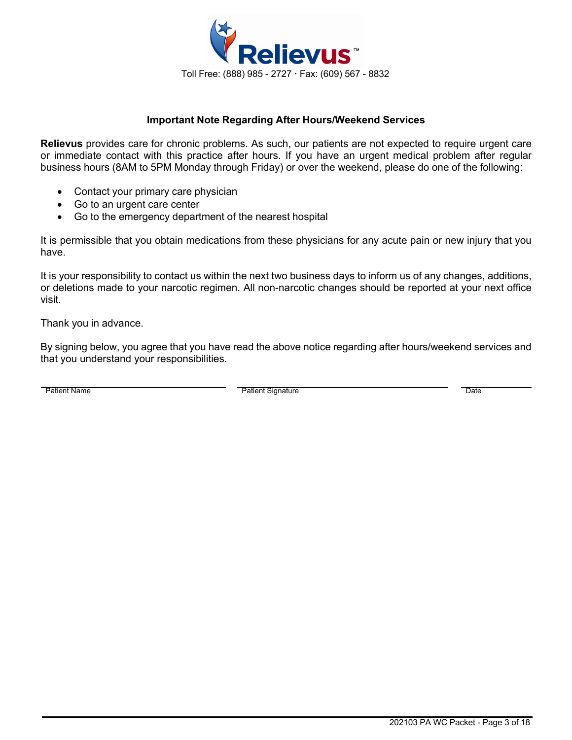

### **Important Note Regarding After Hours/Weekend Services**

**Relievus** provides care for chronic problems. As such, our patients are not expected to require urgent care or immediate contact with this practice after hours. If you have an urgent medical problem after regular business hours (8AM to 5PM Monday through Friday) or over the weekend, please do one of the following:

- Contact your primary care physician
- Go to an urgent care center
- Go to the emergency department of the nearest hospital

It is permissible that you obtain medications from these physicians for any acute pain or new injury that you have.

It is your responsibility to contact us within the next two business days to inform us of any changes, additions, or deletions made to your narcotic regimen. All non-narcotic changes should be reported at your next office visit.

Thank you in advance.

By signing below, you agree that you have read the above notice regarding after hours/weekend services and that you understand your responsibilities.

Patient Name **Date Contains Container Container Container Container Container Container Container Container Date**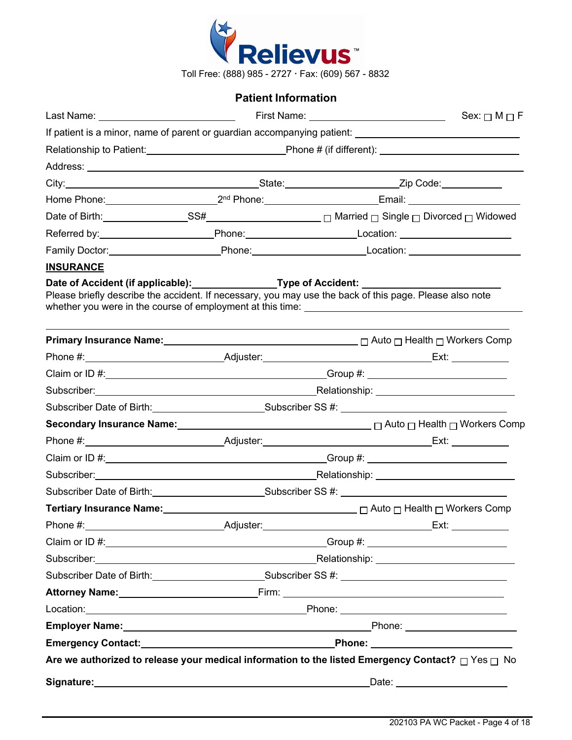

# **Patient Information**

|                                         |  | Sex: $\Box$ M $\Box$ F                                                                                                                                                                                                               |
|-----------------------------------------|--|--------------------------------------------------------------------------------------------------------------------------------------------------------------------------------------------------------------------------------------|
|                                         |  |                                                                                                                                                                                                                                      |
|                                         |  |                                                                                                                                                                                                                                      |
|                                         |  |                                                                                                                                                                                                                                      |
|                                         |  |                                                                                                                                                                                                                                      |
|                                         |  | Home Phone: 2 <sup>nd</sup> Phone: 2 <sup>nd</sup> Phone: Email: 2001.                                                                                                                                                               |
|                                         |  |                                                                                                                                                                                                                                      |
|                                         |  |                                                                                                                                                                                                                                      |
|                                         |  | Family Doctor: _____________________________Phone: ______________________________                                                                                                                                                    |
| <b>INSURANCE</b>                        |  | Date of Accident (if applicable):_________________Type of Accident: _______________________________<br>Please briefly describe the accident. If necessary, you may use the back of this page. Please also note                       |
|                                         |  | <b>Primary Insurance Name:</b> 2008 2012 2012 2013 2014 2015 2016 2017 2018 2019 2012 2014 2015 2016 2017 2018 2019                                                                                                                  |
|                                         |  |                                                                                                                                                                                                                                      |
|                                         |  |                                                                                                                                                                                                                                      |
|                                         |  | Subscriber: National Assembly Property Control and Assembly Property Control and Assembly Property Control and Assembly Property Control and Assembly Property Control and Assembly Property Control and Assembly Property Con       |
|                                         |  |                                                                                                                                                                                                                                      |
|                                         |  | Secondary Insurance Name: <u>2000 100 magaza and a competence</u> D Auto D Health D Workers Comp                                                                                                                                     |
|                                         |  |                                                                                                                                                                                                                                      |
|                                         |  |                                                                                                                                                                                                                                      |
|                                         |  |                                                                                                                                                                                                                                      |
|                                         |  | Subscriber Date of Birth: Subscriber SS #: Cubscriber SS #: Cubscriber SS #: Cubscriber Date of Birth:                                                                                                                               |
|                                         |  |                                                                                                                                                                                                                                      |
|                                         |  |                                                                                                                                                                                                                                      |
|                                         |  | _Group #: _______________________________                                                                                                                                                                                            |
|                                         |  | Subscriber: Nelationship: Nelationship: Nelationship: Nelationship: Nelationship:                                                                                                                                                    |
|                                         |  | Subscriber Date of Birth: Subscriber SS #: Cubscriber SS #: Cubscriber SS #: Cubscriber Date of Birth:                                                                                                                               |
|                                         |  | Attorney Name: <u>Name: Name of Contract Community of City Community Community Community Community Community Community Community Community Community Community Community Community Community Community Community Community Commu</u> |
|                                         |  |                                                                                                                                                                                                                                      |
|                                         |  |                                                                                                                                                                                                                                      |
|                                         |  | Emergency Contact: National Contract Contract: National Phone: National Phone: National Contract Contract Contract Contract Contract Contract Contract Contract Contract Contract Contract Contract Contract Contract Contract       |
|                                         |  | Are we authorized to release your medical information to the listed Emergency Contact? $\Box$ Yes $\Box$ No                                                                                                                          |
| Signature: Management of the Signature: |  |                                                                                                                                                                                                                                      |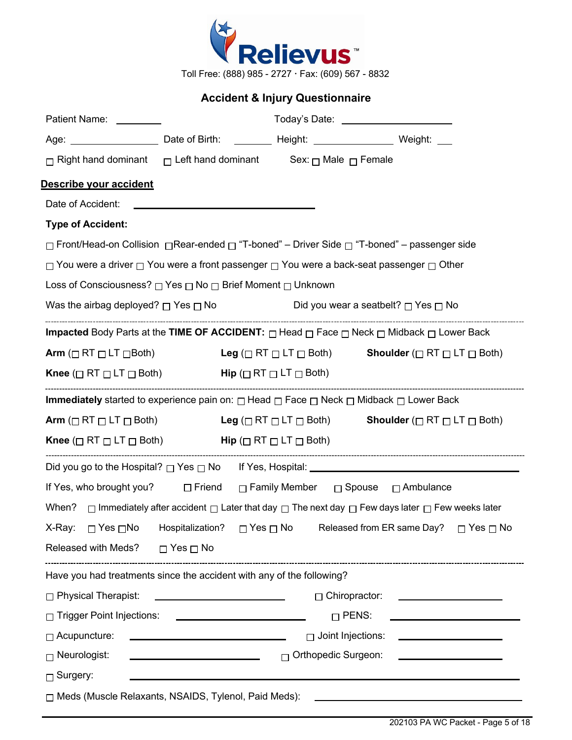

Toll Free: (888) 985 - 2727 Fax: (609) 567 - 8832

# **Accident & Injury Questionnaire**

| Patient Name:                                                                                                          |                                                   |                            | Today's Date: _________________________                                                                                        |
|------------------------------------------------------------------------------------------------------------------------|---------------------------------------------------|----------------------------|--------------------------------------------------------------------------------------------------------------------------------|
|                                                                                                                        |                                                   |                            |                                                                                                                                |
| $\Box$ Right hand dominant $\Box$ Left hand dominant Sex: $\Box$ Male $\Box$ Female                                    |                                                   |                            |                                                                                                                                |
| Describe your accident                                                                                                 |                                                   |                            |                                                                                                                                |
|                                                                                                                        |                                                   |                            |                                                                                                                                |
| <b>Type of Accident:</b>                                                                                               |                                                   |                            |                                                                                                                                |
|                                                                                                                        |                                                   |                            | □ Front/Head-on Collision □Rear-ended □ "T-boned" – Driver Side □ "T-boned" – passenger side                                   |
| $\Box$ You were a driver $\Box$ You were a front passenger $\Box$ You were a back-seat passenger $\Box$ Other          |                                                   |                            |                                                                                                                                |
| Loss of Consciousness? □ Yes □ No □ Brief Moment □ Unknown                                                             |                                                   |                            |                                                                                                                                |
| Was the airbag deployed? $\Box$ Yes $\Box$ No $\Box$ Did you wear a seatbelt? $\Box$ Yes $\Box$ No                     |                                                   |                            |                                                                                                                                |
|                                                                                                                        |                                                   |                            | <b>Impacted</b> Body Parts at the TIME OF ACCIDENT: $\Box$ Head $\Box$ Face $\Box$ Neck $\Box$ Midback $\Box$ Lower Back       |
| Arm ( $\Box$ RT $\Box$ LT $\Box$ Both)                                                                                 |                                                   |                            | Leg ( $\Box$ RT $\Box$ LT $\Box$ Both) Shoulder ( $\Box$ RT $\Box$ LT $\Box$ Both)                                             |
| <b>Knee</b> ( $\Box$ RT $\Box$ LT $\Box$ Both) <b>Hip</b> ( $\Box$ RT $\Box$ LT $\Box$ Both)                           |                                                   |                            |                                                                                                                                |
| <b>Immediately</b> started to experience pain on: $\Box$ Head $\Box$ Face $\Box$ Neck $\Box$ Midback $\Box$ Lower Back |                                                   |                            |                                                                                                                                |
| Arm ( $\Box$ RT $\Box$ LT $\Box$ Both)                                                                                 |                                                   |                            | Leg ( $\Box$ RT $\Box$ LT $\Box$ Both) Shoulder ( $\Box$ RT $\Box$ LT $\Box$ Both)                                             |
| <b>Knee</b> ( $\Box$ RT $\Box$ LT $\Box$ Both) <b>Hip</b> ( $\Box$ RT $\Box$ LT $\Box$ Both)                           |                                                   |                            |                                                                                                                                |
|                                                                                                                        |                                                   |                            |                                                                                                                                |
| If Yes, who brought you?  □ Friend □ Family Member □ Spouse □ Ambulance                                                |                                                   |                            |                                                                                                                                |
|                                                                                                                        |                                                   |                            | When? $\Box$ Immediately after accident $\Box$ Later that day $\Box$ The next day $\Box$ Few days later $\Box$ Few weeks later |
|                                                                                                                        |                                                   |                            | X-Ray: □ Yes □ No Hospitalization? □ Yes □ No Released from ER same Day? □ Yes □ No                                            |
| Released with Meds?                                                                                                    | $\Box$ Yes $\Box$ No                              |                            |                                                                                                                                |
| Have you had treatments since the accident with any of the following?                                                  |                                                   |                            |                                                                                                                                |
| $\Box$ Physical Therapist:                                                                                             |                                                   | $\Box$ Chiropractor:       |                                                                                                                                |
| □ Trigger Point Injections:                                                                                            |                                                   | $\Box$ PENS:               |                                                                                                                                |
| $\Box$ Acupuncture:                                                                                                    |                                                   | $\Box$ Joint Injections:   |                                                                                                                                |
| $\Box$ Neurologist:                                                                                                    | <u> 1980 - Johann Barbara, martxa alemaniar a</u> | $\Box$ Orthopedic Surgeon: |                                                                                                                                |
| $\Box$ Surgery:                                                                                                        |                                                   |                            |                                                                                                                                |
| □ Meds (Muscle Relaxants, NSAIDS, Tylenol, Paid Meds):                                                                 |                                                   |                            |                                                                                                                                |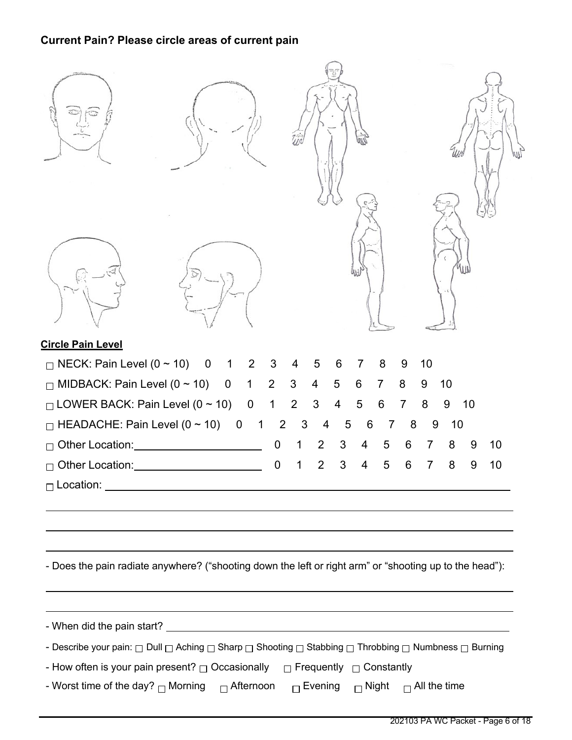# **Current Pain? Please circle areas of current pain**

| <b>Circle Pain Level</b>                                                                                 |                               |                     |                     |                     |         |         |  |
|----------------------------------------------------------------------------------------------------------|-------------------------------|---------------------|---------------------|---------------------|---------|---------|--|
| $\Box$ NECK: Pain Level (0 ~ 10)<br>$\overline{0}$<br>$1\quad 2$                                         | 3<br>4                        | 5<br>6              | 8<br>7              | 10<br>9             |         |         |  |
| $\Box$ MIDBACK: Pain Level (0 ~ 10) 0<br>$\mathbf 1$                                                     | 2<br>3                        | $\overline{4}$<br>5 | 6<br>$\overline{7}$ | 8<br>9              | 10      |         |  |
| $\Box$ LOWER BACK: Pain Level (0 ~ 10) 0                                                                 | $\overline{2}$<br>$\mathbf 1$ | 3<br>4              | 5<br>6              | $\overline{7}$<br>8 | 9       | 10      |  |
| $\Box$ HEADACHE: Pain Level (0 ~ 10)<br>$\overline{\mathbf{0}}$<br>$\mathbf 1$                           | $\overline{2}$<br>3           | 5<br>4              | 6<br>7              | 8                   | 9<br>10 |         |  |
| □ Other Location: <u>■ ■ Other Location</u>                                                              | $\overline{0}$                | 2<br>3              | 5<br>4              | 6                   | 7<br>8  | 9<br>10 |  |
| □ Other Location: <u>■ ■ Other Location</u>                                                              | 0                             | 3<br>2              | 5<br>4              | 6                   | 8<br>7  | 10<br>9 |  |
|                                                                                                          |                               |                     |                     |                     |         |         |  |
| - Does the pain radiate anywhere? ("shooting down the left or right arm" or "shooting up to the head"):  |                               |                     |                     |                     |         |         |  |
|                                                                                                          |                               |                     |                     |                     |         |         |  |
| - Describe your pain: □ Dull □ Aching □ Sharp □ Shooting □ Stabbing □ Throbbing □ Numbness □ Burning     |                               |                     |                     |                     |         |         |  |
| - How often is your pain present? $\Box$ Occasionally $\Box$ Frequently $\Box$ Constantly                |                               |                     |                     |                     |         |         |  |
| - Worst time of the day? $\Box$ Morning $\Box$ Afternoon $\Box$ Evening $\Box$ Night $\Box$ All the time |                               |                     |                     |                     |         |         |  |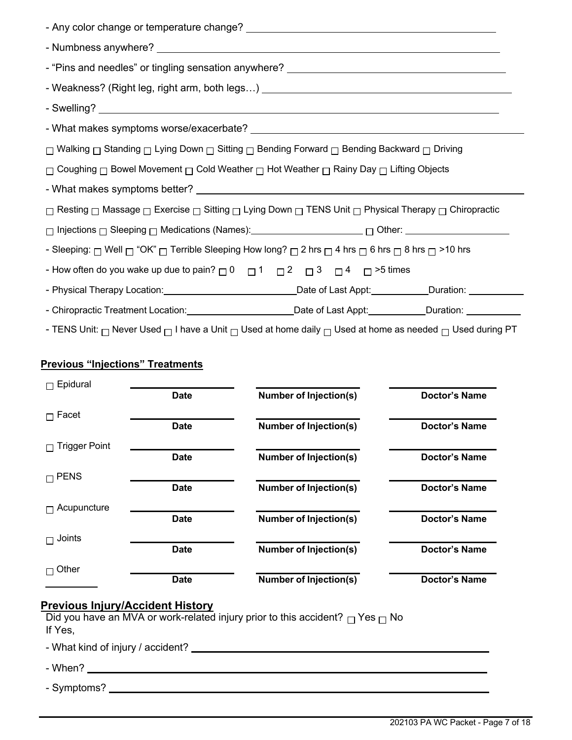| - "Pins and needles" or tingling sensation anywhere? ____________________________                                                         |  |  |  |
|-------------------------------------------------------------------------------------------------------------------------------------------|--|--|--|
|                                                                                                                                           |  |  |  |
|                                                                                                                                           |  |  |  |
|                                                                                                                                           |  |  |  |
| □ Walking □ Standing □ Lying Down □ Sitting □ Bending Forward □ Bending Backward □ Driving                                                |  |  |  |
| $\Box$ Coughing $\Box$ Bowel Movement $\Box$ Cold Weather $\Box$ Hot Weather $\Box$ Rainy Day $\Box$ Lifting Objects                      |  |  |  |
|                                                                                                                                           |  |  |  |
| $□$ Resting $□$ Massage $□$ Exercise $□$ Sitting $□$ Lying Down $□$ TENS Unit $□$ Physical Therapy $□$ Chiropractic                       |  |  |  |
|                                                                                                                                           |  |  |  |
| - Sleeping: $\Box$ Well $\Box$ "OK" $\Box$ Terrible Sleeping How long? $\Box$ 2 hrs $\Box$ 4 hrs $\Box$ 6 hrs $\Box$ 8 hrs $\Box$ >10 hrs |  |  |  |
| - How often do you wake up due to pain? $\Box$ 0 $\Box$ 1 $\Box$ 2 $\Box$ 3 $\Box$ 4 $\Box$ >5 times                                      |  |  |  |
|                                                                                                                                           |  |  |  |
| - Chiropractic Treatment Location: Calcular Charles Charles Charles Chiropractic Treatment Location:                                      |  |  |  |

- TENS Unit:  $\Box$  Never Used  $\Box$  I have a Unit  $\Box$  Used at home daily  $\Box$  Used at home as needed  $\Box$  Used during PT

## **Previous "Injections" Treatments**

| Epidural             |             |                               |                      |
|----------------------|-------------|-------------------------------|----------------------|
|                      | <b>Date</b> | <b>Number of Injection(s)</b> | <b>Doctor's Name</b> |
| Facet<br>П           |             |                               |                      |
|                      | <b>Date</b> | <b>Number of Injection(s)</b> | <b>Doctor's Name</b> |
| <b>Trigger Point</b> |             |                               |                      |
|                      | <b>Date</b> | <b>Number of Injection(s)</b> | <b>Doctor's Name</b> |
| $\sqcap$ PENS        |             |                               |                      |
|                      | <b>Date</b> | <b>Number of Injection(s)</b> | Doctor's Name        |
| Acupuncture          |             |                               |                      |
|                      | <b>Date</b> | <b>Number of Injection(s)</b> | <b>Doctor's Name</b> |
| Joints<br>п          |             |                               |                      |
|                      | <b>Date</b> | <b>Number of Injection(s)</b> | <b>Doctor's Name</b> |
| Other                |             |                               |                      |
|                      | <b>Date</b> | <b>Number of Injection(s)</b> | <b>Doctor's Name</b> |

### **Previous Injury/Accident History**

Did you have an MVA or work-related injury prior to this accident?  $\Box$  Yes  $\Box$  No If Yes,

- What kind of injury / accident?

- When?

- Symptoms? \_\_\_\_\_\_\_\_\_\_\_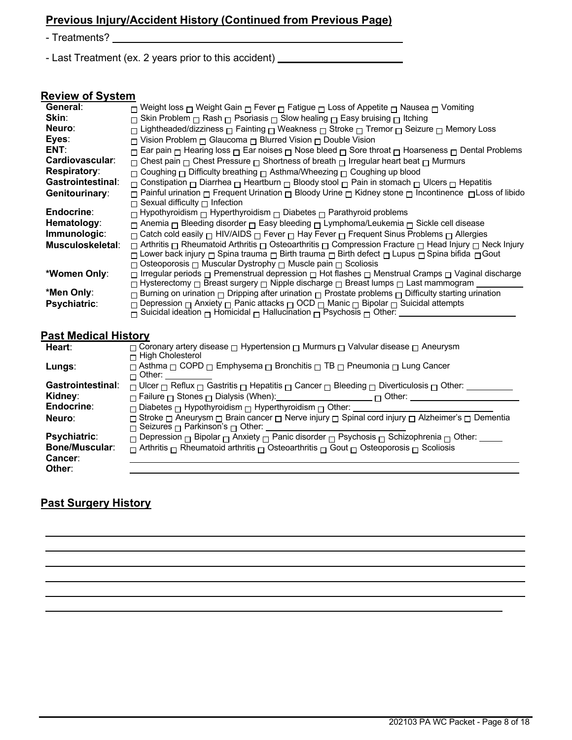# **Previous Injury/Accident History (Continued from Previous Page)**

- Treatments?

- Last Treatment (ex. 2 years prior to this accident) \_\_\_\_\_\_\_\_\_\_\_\_\_\_\_\_\_\_\_\_\_\_\_\_\_\_

## **Review of System**

| General:                 | □ Weight loss □ Weight Gain □ Fever □ Fatigue □ Loss of Appetite □ Nausea □ Vomiting                                                                 |
|--------------------------|------------------------------------------------------------------------------------------------------------------------------------------------------|
| Skin:                    | $\Box$ Skin Problem $\Box$ Rash $\Box$ Psoriasis $\Box$ Slow healing $\Box$ Easy bruising $\Box$ Itching                                             |
| Neuro:                   | $\Box$ Lightheaded/dizziness $\Box$ Fainting $\Box$ Weakness $\Box$ Stroke $\Box$ Tremor $\Box$ Seizure $\Box$ Memory Loss                           |
| Eyes:                    | $\Box$ Vision Problem $\Box$ Glaucoma $\Box$ Blurred Vision $\Box$ Double Vision                                                                     |
| ENT:                     | $\Box$ Ear pain $\Box$ Hearing loss $\Box$ Ear noises $\Box$ Nose bleed $\Box$ Sore throat $\Box$ Hoarseness $\Box$ Dental Problems                  |
| Cardiovascular:          | $\Box$ Chest pain $\Box$ Chest Pressure $\Box$ Shortness of breath $\Box$ Irregular heart beat $\Box$ Murmurs                                        |
| <b>Respiratory:</b>      | $\Box$ Coughing $\Box$ Difficulty breathing $\Box$ Asthma/Wheezing $\Box$ Coughing up blood                                                          |
| <b>Gastrointestinal:</b> | $\Box$ Constipation $\Box$ Diarrhea $\Box$ Heartburn $\Box$ Bloody stool $\Box$ Pain in stomach $\Box$ Ulcers $\Box$ Hepatitis                       |
| Genitourinary:           | □ Painful urination □ Frequent Urination □ Bloody Urine □ Kidney stone □ Incontinence □ Loss of libido                                               |
|                          | $\Box$ Sexual difficulty $\Box$ Infection                                                                                                            |
| Endocrine:               | $\Box$ Hypothyroidism $\Box$ Hyperthyroidism $\Box$ Diabetes $\Box$ Parathyroid problems                                                             |
| Hematology:              | $\Box$ Anemia $\Box$ Bleeding disorder $\Box$ Easy bleeding $\Box$ Lymphoma/Leukemia $\Box$ Sickle cell disease                                      |
| Immunologic:             | □ Catch cold easily □ HIV/AIDS □ Fever □ Hay Fever □ Frequent Sinus Problems □ Allergies                                                             |
| Musculoskeletal:         | $\Box$ Arthritis $\Box$ Rheumatoid Arthritis $\Box$ Osteoarthritis $\Box$ Compression Fracture $\Box$ Head Injury $\Box$ Neck Injury                 |
|                          | □ Lower back injury □ Spina trauma □ Birth trauma □ Birth defect □ Lupus □ Spina bifida □ Gout                                                       |
|                          | $\Box$ Osteoporosis $\Box$ Muscular Dystrophy $\Box$ Muscle pain $\Box$ Scoliosis                                                                    |
| *Women Only:             | $\Box$ Irregular periods $\Box$ Premenstrual depression $\Box$ Hot flashes $\Box$ Menstrual Cramps $\Box$ Vaginal discharge                          |
|                          | $\Box$ Hysterectomy $\Box$ Breast surgery $\Box$ Nipple discharge $\Box$ Breast lumps $\Box$ Last mammogram                                          |
| *Men Only:               | $\Box$ Burning on urination $\Box$ Dripping after urination $\Box$ Prostate problems $\Box$ Difficulty starting urination                            |
| <b>Psychiatric:</b>      | □ Depression □ Anxiety □ Panic attacks □ OCD □ Manic □ Bipolar □ Suicidal attempts                                                                   |
|                          | $\overline{\cap}$ Suicidal ideation $\overline{\cap}$ Homicidal $\overline{\cap}$ Hallucination $\overline{\cap}$ Psychosis $\overline{\cap}$ Other: |
|                          |                                                                                                                                                      |

# **Past Medical History**

| Heart:                   | $\Box$ Coronary artery disease $\Box$ Hypertension $\Box$ Murmurs $\Box$ Valvular disease $\Box$ Aneurysm<br>$\sqcap$ High Cholesterol              |
|--------------------------|-----------------------------------------------------------------------------------------------------------------------------------------------------|
| Lungs:                   | □ Asthma □ COPD □ Emphysema □ Bronchitis □ TB □ Pneumonia □ Lung Cancer<br>$\sqcap$ Other:                                                          |
| <b>Gastrointestinal:</b> | $\Box$ Ulcer $\Box$ Reflux $\Box$ Gastritis $\Box$ Hepatitis $\Box$ Cancer $\Box$ Bleeding $\Box$ Diverticulosis $\Box$ Other:                      |
| Kidney:                  | □ Other:                                                                                                                                            |
| Endocrine:               | $\Box$ Diabetes $\Box$ Hypothyroidism $\Box$ Hyperthyroidism $\Box$ Other: _____                                                                    |
| Neuro:                   | □ Stroke □ Aneurysm □ Brain cancer □ Nerve injury □ Spinal cord injury □ Alzheimer's □ Dementia<br>$\Box$ Seizures $\Box$ Parkinson's $\Box$ Other: |
| <b>Psychiatric:</b>      | $\Box$ Depression $\Box$ Bipolar $\Box$ Anxiety $\Box$ Panic disorder $\Box$ Psychosis $\Box$ Schizophrenia $\Box$ Other: _____                     |
| <b>Bone/Muscular:</b>    | $\Box$ Arthritis $\Box$ Rheumatoid arthritis $\Box$ Osteoarthritis $\Box$ Gout $\Box$ Osteoporosis $\Box$ Scoliosis                                 |
| <b>Cancer:</b>           |                                                                                                                                                     |
| Other:                   |                                                                                                                                                     |

# **Past Surgery History**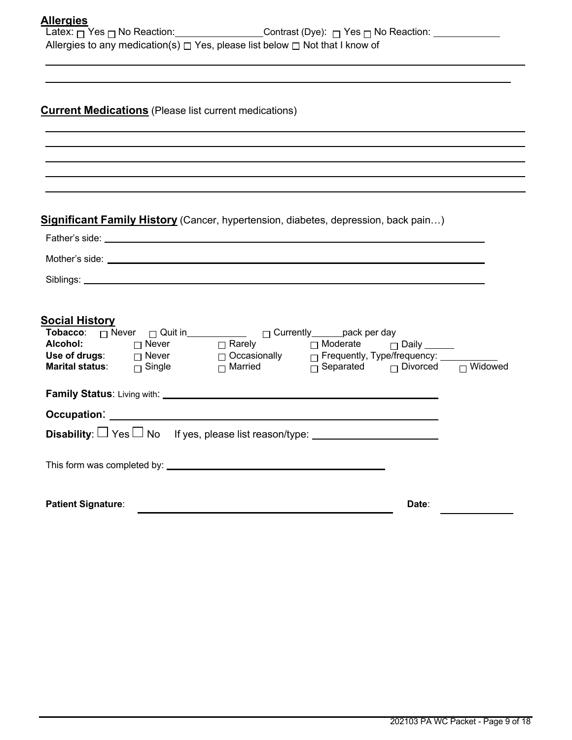| Allergies |  |
|-----------|--|
|           |  |

| Latex: <sub>冂</sub> Yes <sub>冂</sub> No Reaction:_ | Contrast (Dye): $\Box$ Yes $\Box$ No Reaction:                                         |
|----------------------------------------------------|----------------------------------------------------------------------------------------|
|                                                    | Allergies to any medication(s) $\Box$ Yes, please list below $\Box$ Not that I know of |

# **Current Medications** (Please list current medications)

## **Significant Family History** (Cancer, hypertension, diabetes, depression, back pain…)

| <u>Social History</u><br>Use of drugs: $\Box$ Never $\Box$ Occasionally $\Box$ Frequently, Type/frequency: $\Box$<br>Marital status: $\Box$ Single $\Box$ Married $\Box$ Separated $\Box$ Divorced $\Box$ Widowed |  |
|-------------------------------------------------------------------------------------------------------------------------------------------------------------------------------------------------------------------|--|
| Disability: $\Box$ Yes $\Box$ No If yes, please list reason/type: ___________________                                                                                                                             |  |
| <b>Patient Signature:</b><br>Date:                                                                                                                                                                                |  |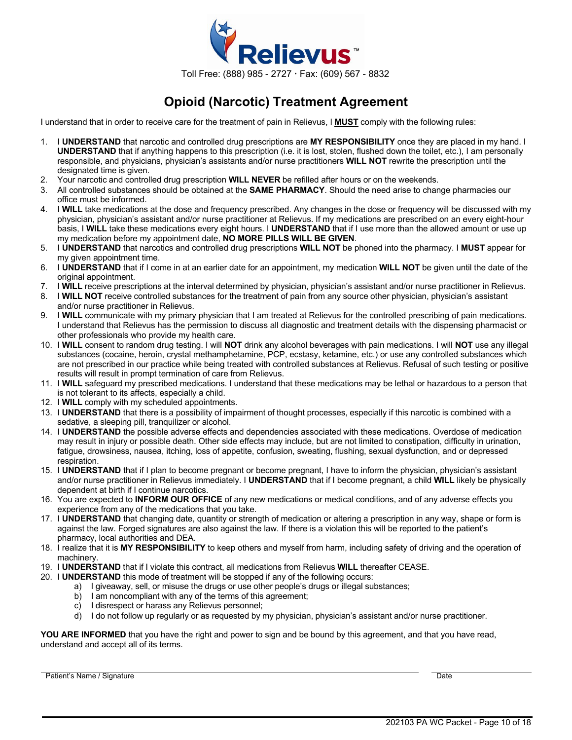

# **Opioid (Narcotic) Treatment Agreement**

I understand that in order to receive care for the treatment of pain in Relievus, I **MUST** comply with the following rules:

- 1. I **UNDERSTAND** that narcotic and controlled drug prescriptions are **MY RESPONSIBILITY** once they are placed in my hand. I **UNDERSTAND** that if anything happens to this prescription (i.e. it is lost, stolen, flushed down the toilet, etc.), I am personally responsible, and physicians, physician's assistants and/or nurse practitioners **WILL NOT** rewrite the prescription until the designated time is given.
- 2. Your narcotic and controlled drug prescription **WILL NEVER** be refilled after hours or on the weekends.
- 3. All controlled substances should be obtained at the **SAME PHARMACY**. Should the need arise to change pharmacies our office must be informed.
- 4. I **WILL** take medications at the dose and frequency prescribed. Any changes in the dose or frequency will be discussed with my physician, physician's assistant and/or nurse practitioner at Relievus. If my medications are prescribed on an every eight-hour basis, I **WILL** take these medications every eight hours. I **UNDERSTAND** that if I use more than the allowed amount or use up my medication before my appointment date, **NO MORE PILLS WILL BE GIVEN**.
- 5. I **UNDERSTAND** that narcotics and controlled drug prescriptions **WILL NOT** be phoned into the pharmacy. I **MUST** appear for my given appointment time.
- 6. I **UNDERSTAND** that if I come in at an earlier date for an appointment, my medication **WILL NOT** be given until the date of the original appointment.
- 7. I **WILL** receive prescriptions at the interval determined by physician, physician's assistant and/or nurse practitioner in Relievus.
- 8. I **WILL NOT** receive controlled substances for the treatment of pain from any source other physician, physician's assistant and/or nurse practitioner in Relievus.
- 9. I **WILL** communicate with my primary physician that I am treated at Relievus for the controlled prescribing of pain medications. I understand that Relievus has the permission to discuss all diagnostic and treatment details with the dispensing pharmacist or other professionals who provide my health care.
- 10. I **WILL** consent to random drug testing. I will **NOT** drink any alcohol beverages with pain medications. I will **NOT** use any illegal substances (cocaine, heroin, crystal methamphetamine, PCP, ecstasy, ketamine, etc.) or use any controlled substances which are not prescribed in our practice while being treated with controlled substances at Relievus. Refusal of such testing or positive results will result in prompt termination of care from Relievus.
- 11. I **WILL** safeguard my prescribed medications. I understand that these medications may be lethal or hazardous to a person that is not tolerant to its affects, especially a child.
- 12. I **WILL** comply with my scheduled appointments.
- 13. I **UNDERSTAND** that there is a possibility of impairment of thought processes, especially if this narcotic is combined with a sedative, a sleeping pill, tranquilizer or alcohol.
- 14. I **UNDERSTAND** the possible adverse effects and dependencies associated with these medications. Overdose of medication may result in injury or possible death. Other side effects may include, but are not limited to constipation, difficulty in urination, fatigue, drowsiness, nausea, itching, loss of appetite, confusion, sweating, flushing, sexual dysfunction, and or depressed respiration.
- 15. I **UNDERSTAND** that if I plan to become pregnant or become pregnant, I have to inform the physician, physician's assistant and/or nurse practitioner in Relievus immediately. I **UNDERSTAND** that if I become pregnant, a child **WILL** likely be physically dependent at birth if I continue narcotics.
- 16. You are expected to **INFORM OUR OFFICE** of any new medications or medical conditions, and of any adverse effects you experience from any of the medications that you take.
- 17. I **UNDERSTAND** that changing date, quantity or strength of medication or altering a prescription in any way, shape or form is against the law. Forged signatures are also against the law. If there is a violation this will be reported to the patient's pharmacy, local authorities and DEA.
- 18. I realize that it is **MY RESPONSIBILITY** to keep others and myself from harm, including safety of driving and the operation of machinery.
- 19. I **UNDERSTAND** that if I violate this contract, all medications from Relievus **WILL** thereafter CEASE.
- 20. I **UNDERSTAND** this mode of treatment will be stopped if any of the following occurs:
	- a) I giveaway, sell, or misuse the drugs or use other people's drugs or illegal substances;
	- b) I am noncompliant with any of the terms of this agreement;
	- c) I disrespect or harass any Relievus personnel;
	- d) I do not follow up regularly or as requested by my physician, physician's assistant and/or nurse practitioner.

**YOU ARE INFORMED** that you have the right and power to sign and be bound by this agreement, and that you have read, understand and accept all of its terms.

Patient's Name / Signature Date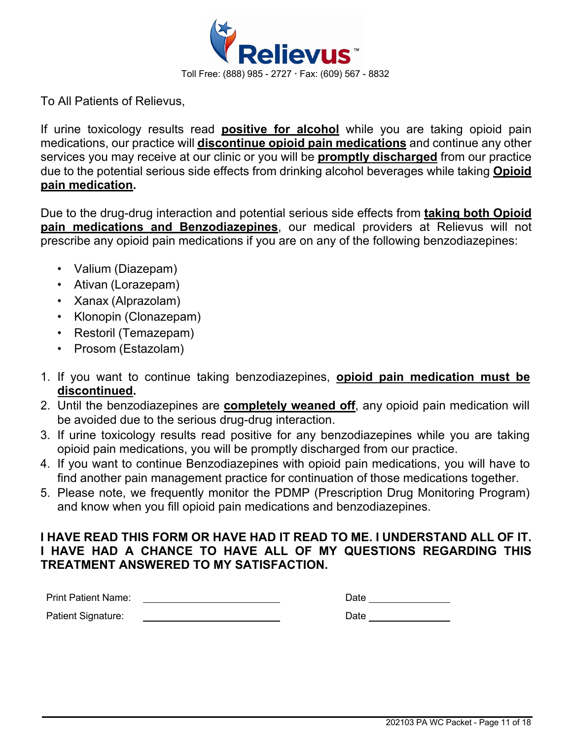

To All Patients of Relievus,

If urine toxicology results read **positive for alcohol** while you are taking opioid pain medications, our practice will **discontinue opioid pain medications** and continue any other services you may receive at our clinic or you will be **promptly discharged** from our practice due to the potential serious side effects from drinking alcohol beverages while taking **Opioid pain medication.**

Due to the drug-drug interaction and potential serious side effects from **taking both Opioid pain medications and Benzodiazepines**, our medical providers at Relievus will not prescribe any opioid pain medications if you are on any of the following benzodiazepines:

- Valium (Diazepam)
- Ativan (Lorazepam)
- Xanax (Alprazolam)
- Klonopin (Clonazepam)
- Restoril (Temazepam)
- Prosom (Estazolam)
- 1. If you want to continue taking benzodiazepines, **opioid pain medication must be discontinued.**
- 2. Until the benzodiazepines are **completely weaned off**, any opioid pain medication will be avoided due to the serious drug-drug interaction.
- 3. If urine toxicology results read positive for any benzodiazepines while you are taking opioid pain medications, you will be promptly discharged from our practice.
- 4. If you want to continue Benzodiazepines with opioid pain medications, you will have to find another pain management practice for continuation of those medications together.
- 5. Please note, we frequently monitor the PDMP (Prescription Drug Monitoring Program) and know when you fill opioid pain medications and benzodiazepines.

# **I HAVE READ THIS FORM OR HAVE HAD IT READ TO ME. I UNDERSTAND ALL OF IT. I HAVE HAD A CHANCE TO HAVE ALL OF MY QUESTIONS REGARDING THIS TREATMENT ANSWERED TO MY SATISFACTION.**

| <b>Print Patient Name:</b> | Date |  |
|----------------------------|------|--|
| Patient Signature:         | Date |  |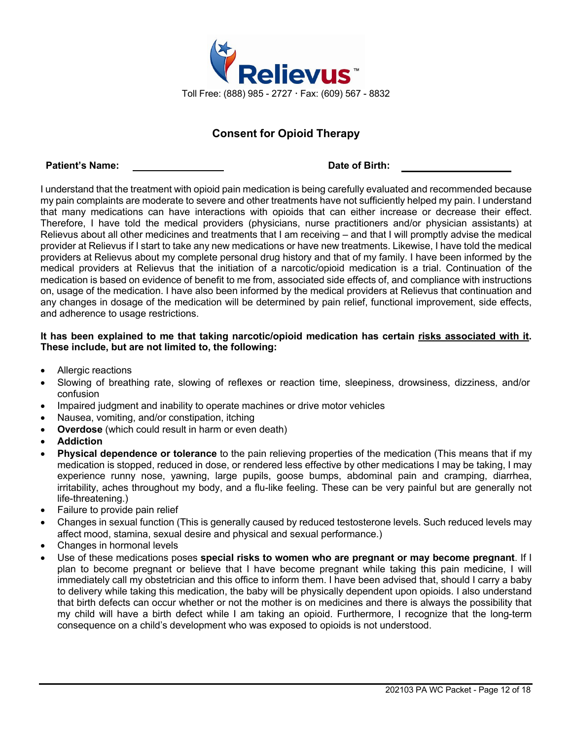

## **Consent for Opioid Therapy**

#### **Patient's Name: Date of Birth:**

I understand that the treatment with opioid pain medication is being carefully evaluated and recommended because my pain complaints are moderate to severe and other treatments have not sufficiently helped my pain. I understand that many medications can have interactions with opioids that can either increase or decrease their effect. Therefore, I have told the medical providers (physicians, nurse practitioners and/or physician assistants) at Relievus about all other medicines and treatments that I am receiving – and that I will promptly advise the medical provider at Relievus if I start to take any new medications or have new treatments. Likewise, I have told the medical providers at Relievus about my complete personal drug history and that of my family. I have been informed by the medical providers at Relievus that the initiation of a narcotic/opioid medication is a trial. Continuation of the medication is based on evidence of benefit to me from, associated side effects of, and compliance with instructions on, usage of the medication. I have also been informed by the medical providers at Relievus that continuation and any changes in dosage of the medication will be determined by pain relief, functional improvement, side effects, and adherence to usage restrictions.

### **It has been explained to me that taking narcotic/opioid medication has certain risks associated with it. These include, but are not limited to, the following:**

- Allergic reactions
- Slowing of breathing rate, slowing of reflexes or reaction time, sleepiness, drowsiness, dizziness, and/or confusion
- Impaired judgment and inability to operate machines or drive motor vehicles
- Nausea, vomiting, and/or constipation, itching
- **Overdose** (which could result in harm or even death)
- **Addiction**
- **Physical dependence or tolerance** to the pain relieving properties of the medication (This means that if my medication is stopped, reduced in dose, or rendered less effective by other medications I may be taking, I may experience runny nose, yawning, large pupils, goose bumps, abdominal pain and cramping, diarrhea, irritability, aches throughout my body, and a flu-like feeling. These can be very painful but are generally not life-threatening.)
- Failure to provide pain relief
- Changes in sexual function (This is generally caused by reduced testosterone levels. Such reduced levels may affect mood, stamina, sexual desire and physical and sexual performance.)
- Changes in hormonal levels
- Use of these medications poses **special risks to women who are pregnant or may become pregnant**. If I plan to become pregnant or believe that I have become pregnant while taking this pain medicine, I will immediately call my obstetrician and this office to inform them. I have been advised that, should I carry a baby to delivery while taking this medication, the baby will be physically dependent upon opioids. I also understand that birth defects can occur whether or not the mother is on medicines and there is always the possibility that my child will have a birth defect while I am taking an opioid. Furthermore, I recognize that the long-term consequence on a child's development who was exposed to opioids is not understood.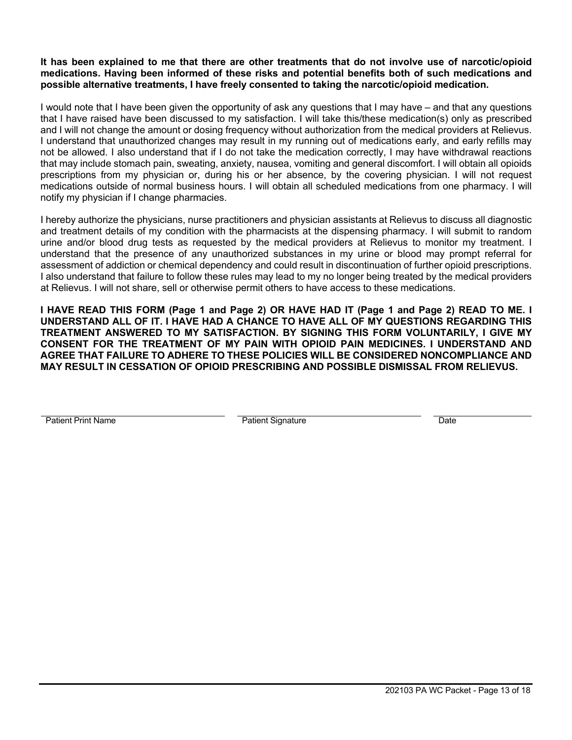### **It has been explained to me that there are other treatments that do not involve use of narcotic/opioid medications. Having been informed of these risks and potential benefits both of such medications and possible alternative treatments, I have freely consented to taking the narcotic/opioid medication.**

I would note that I have been given the opportunity of ask any questions that I may have – and that any questions that I have raised have been discussed to my satisfaction. I will take this/these medication(s) only as prescribed and I will not change the amount or dosing frequency without authorization from the medical providers at Relievus. I understand that unauthorized changes may result in my running out of medications early, and early refills may not be allowed. I also understand that if I do not take the medication correctly, I may have withdrawal reactions that may include stomach pain, sweating, anxiety, nausea, vomiting and general discomfort. I will obtain all opioids prescriptions from my physician or, during his or her absence, by the covering physician. I will not request medications outside of normal business hours. I will obtain all scheduled medications from one pharmacy. I will notify my physician if I change pharmacies.

I hereby authorize the physicians, nurse practitioners and physician assistants at Relievus to discuss all diagnostic and treatment details of my condition with the pharmacists at the dispensing pharmacy. I will submit to random urine and/or blood drug tests as requested by the medical providers at Relievus to monitor my treatment. I understand that the presence of any unauthorized substances in my urine or blood may prompt referral for assessment of addiction or chemical dependency and could result in discontinuation of further opioid prescriptions. I also understand that failure to follow these rules may lead to my no longer being treated by the medical providers at Relievus. I will not share, sell or otherwise permit others to have access to these medications.

**I HAVE READ THIS FORM (Page 1 and Page 2) OR HAVE HAD IT (Page 1 and Page 2) READ TO ME. I UNDERSTAND ALL OF IT. I HAVE HAD A CHANCE TO HAVE ALL OF MY QUESTIONS REGARDING THIS TREATMENT ANSWERED TO MY SATISFACTION. BY SIGNING THIS FORM VOLUNTARILY, I GIVE MY CONSENT FOR THE TREATMENT OF MY PAIN WITH OPIOID PAIN MEDICINES. I UNDERSTAND AND AGREE THAT FAILURE TO ADHERE TO THESE POLICIES WILL BE CONSIDERED NONCOMPLIANCE AND MAY RESULT IN CESSATION OF OPIOID PRESCRIBING AND POSSIBLE DISMISSAL FROM RELIEVUS.**

Patient Print Name **Patient Signature** Patient Signature Date **Date**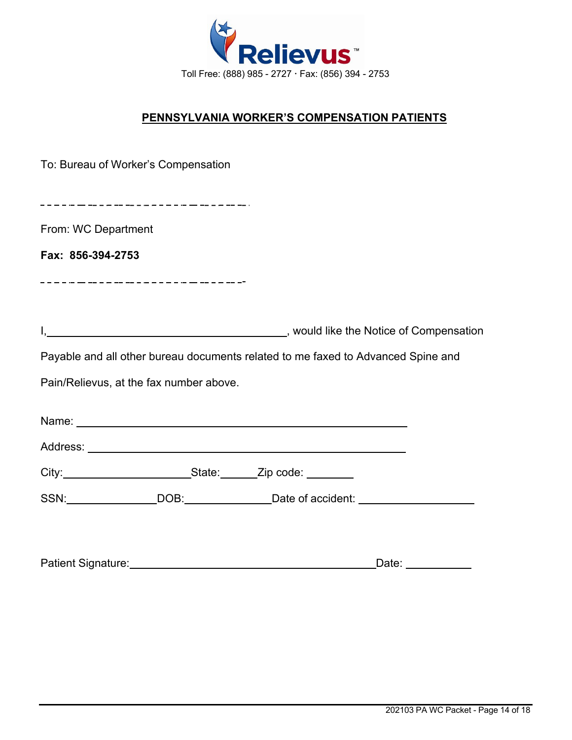

# **PENNSYLVANIA WORKER'S COMPENSATION PATIENTS**

|                     | To: Bureau of Worker's Compensation     |                                                                                                                                                                                                                               |       |
|---------------------|-----------------------------------------|-------------------------------------------------------------------------------------------------------------------------------------------------------------------------------------------------------------------------------|-------|
|                     |                                         |                                                                                                                                                                                                                               |       |
| From: WC Department |                                         |                                                                                                                                                                                                                               |       |
| Fax: 856-394-2753   |                                         |                                                                                                                                                                                                                               |       |
|                     | _______________________________         |                                                                                                                                                                                                                               |       |
|                     |                                         |                                                                                                                                                                                                                               |       |
|                     |                                         | I <sub>1</sub> Nould like the Notice of Compensation                                                                                                                                                                          |       |
|                     |                                         | Payable and all other bureau documents related to me faxed to Advanced Spine and                                                                                                                                              |       |
|                     | Pain/Relievus, at the fax number above. |                                                                                                                                                                                                                               |       |
|                     |                                         | Name: Name:                                                                                                                                                                                                                   |       |
|                     |                                         |                                                                                                                                                                                                                               |       |
|                     |                                         | City: City: City: City: City: City: City: City: City: City: City: City: City: City: City: City: City: City: City: City: City: City: City: City: City: City: City: City: City: City: City: City: City: City: City: City: City: |       |
|                     |                                         | SSN: DOB: DOB: Date of accident: 2008.                                                                                                                                                                                        |       |
|                     |                                         |                                                                                                                                                                                                                               |       |
| Patient Signature:  |                                         |                                                                                                                                                                                                                               | Date: |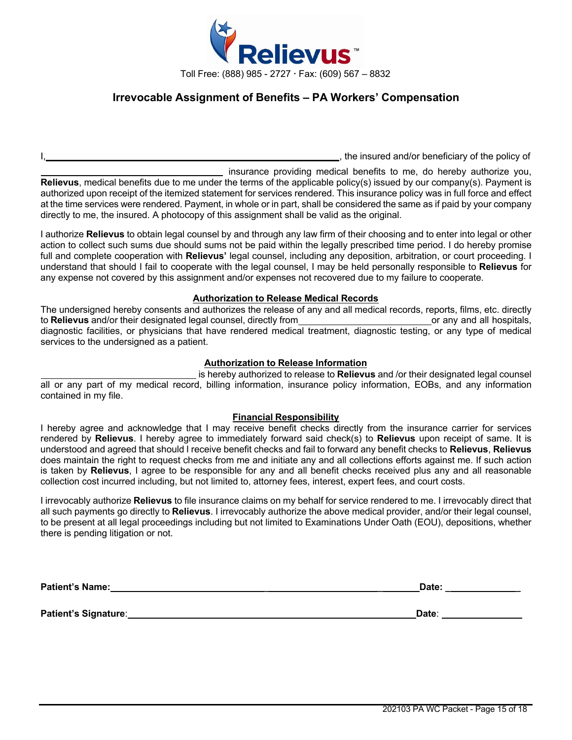

### **Irrevocable Assignment of Benefits – PA Workers' Compensation**

I, the insured and/or beneficiary of the policy of

insurance providing medical benefits to me, do hereby authorize you, **Relievus**, medical benefits due to me under the terms of the applicable policy(s) issued by our company(s). Payment is authorized upon receipt of the itemized statement for services rendered. This insurance policy was in full force and effect at the time services were rendered. Payment, in whole or in part, shall be considered the same as if paid by your company directly to me, the insured. A photocopy of this assignment shall be valid as the original.

I authorize **Relievus** to obtain legal counsel by and through any law firm of their choosing and to enter into legal or other action to collect such sums due should sums not be paid within the legally prescribed time period. I do hereby promise full and complete cooperation with **Relievus'** legal counsel, including any deposition, arbitration, or court proceeding. I understand that should I fail to cooperate with the legal counsel, I may be held personally responsible to **Relievus** for any expense not covered by this assignment and/or expenses not recovered due to my failure to cooperate.

#### **Authorization to Release Medical Records**

The undersigned hereby consents and authorizes the release of any and all medical records, reports, films, etc. directly to **Relievus** and/or their designated legal counsel, directly from **or any and all hospitals**, or any and all hospitals, diagnostic facilities, or physicians that have rendered medical treatment, diagnostic testing, or any type of medical services to the undersigned as a patient.

#### **Authorization to Release Information**

is hereby authorized to release to **Relievus** and /or their designated legal counsel all or any part of my medical record, billing information, insurance policy information, EOBs, and any information contained in my file.

#### **Financial Responsibility**

I hereby agree and acknowledge that I may receive benefit checks directly from the insurance carrier for services rendered by **Relievus**. I hereby agree to immediately forward said check(s) to **Relievus** upon receipt of same. It is understood and agreed that should I receive benefit checks and fail to forward any benefit checks to **Relievus**, **Relievus** does maintain the right to request checks from me and initiate any and all collections efforts against me. If such action is taken by **Relievus**, I agree to be responsible for any and all benefit checks received plus any and all reasonable collection cost incurred including, but not limited to, attorney fees, interest, expert fees, and court costs.

I irrevocably authorize **Relievus** to file insurance claims on my behalf for service rendered to me. I irrevocably direct that all such payments go directly to **Relievus**. I irrevocably authorize the above medical provider, and/or their legal counsel, to be present at all legal proceedings including but not limited to Examinations Under Oath (EOU), depositions, whether there is pending litigation or not.

| <b>Patient's Name:</b> | Date: |
|------------------------|-------|
|                        |       |
| Patient's Signature:   | Date: |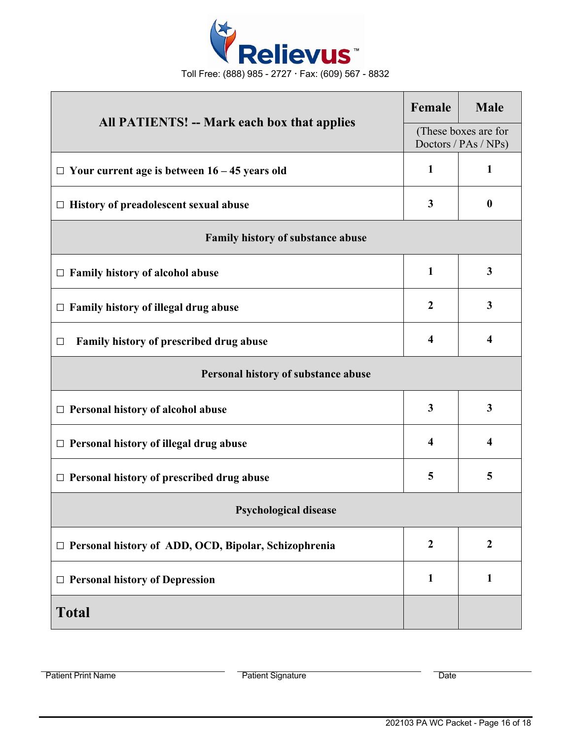

| All PATIENTS! -- Mark each box that applies                 |              | <b>Male</b>                                  |  |  |  |
|-------------------------------------------------------------|--------------|----------------------------------------------|--|--|--|
|                                                             |              | (These boxes are for<br>Doctors / PAs / NPs) |  |  |  |
| $\Box$ Your current age is between 16 – 45 years old        | $\mathbf{1}$ | $\mathbf{1}$                                 |  |  |  |
| $\Box$ History of preadolescent sexual abuse                |              | $\boldsymbol{0}$                             |  |  |  |
| Family history of substance abuse                           |              |                                              |  |  |  |
| $\Box$ Family history of alcohol abuse                      | $\mathbf{1}$ | $\mathbf{3}$                                 |  |  |  |
| Family history of illegal drug abuse<br>$\Box$              |              | $\mathbf{3}$                                 |  |  |  |
| Family history of prescribed drug abuse<br>□                |              | $\overline{\mathbf{4}}$                      |  |  |  |
| Personal history of substance abuse                         |              |                                              |  |  |  |
| $\Box$ Personal history of alcohol abuse                    | 3            | $\overline{\mathbf{3}}$                      |  |  |  |
| $\Box$ Personal history of illegal drug abuse               |              | $\overline{\mathbf{4}}$                      |  |  |  |
| $\Box$ Personal history of prescribed drug abuse            | 5            | 5                                            |  |  |  |
| <b>Psychological disease</b>                                |              |                                              |  |  |  |
| $\Box$ Personal history of ADD, OCD, Bipolar, Schizophrenia |              | $\boldsymbol{2}$                             |  |  |  |
| $\Box$ Personal history of Depression                       |              | $\mathbf{1}$                                 |  |  |  |
| <b>Total</b>                                                |              |                                              |  |  |  |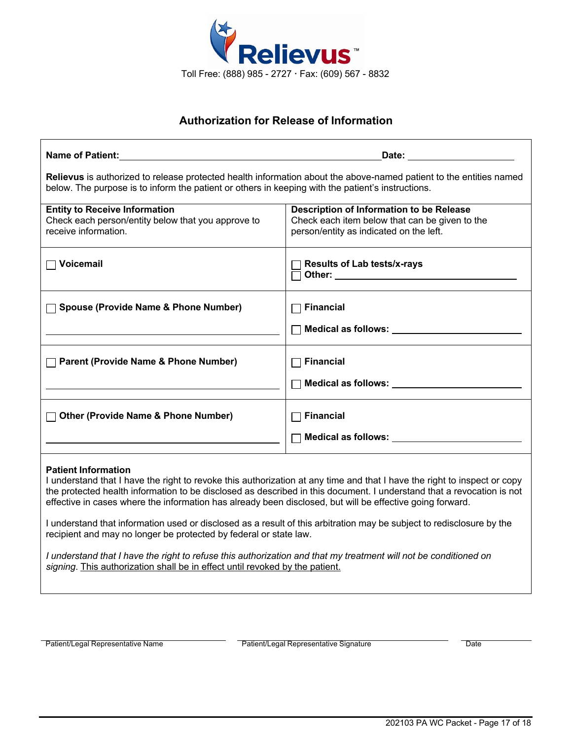

# **Authorization for Release of Information**

| Name of Patient: All the state of the state of the state of the state of the state of the state of the state of the state of the state of the state of the state of the state of the state of the state of the state of the st                                                                                                                                                                                                                                                                                                                                                                                                                                                                                 | <b>Date:</b> the contract of the contract of the contract of the contract of the contract of the contract of the contract of the contract of the contract of the contract of the contract of the contract of the contract of the co |  |  |  |
|----------------------------------------------------------------------------------------------------------------------------------------------------------------------------------------------------------------------------------------------------------------------------------------------------------------------------------------------------------------------------------------------------------------------------------------------------------------------------------------------------------------------------------------------------------------------------------------------------------------------------------------------------------------------------------------------------------------|-------------------------------------------------------------------------------------------------------------------------------------------------------------------------------------------------------------------------------------|--|--|--|
| Relievus is authorized to release protected health information about the above-named patient to the entities named<br>below. The purpose is to inform the patient or others in keeping with the patient's instructions.                                                                                                                                                                                                                                                                                                                                                                                                                                                                                        |                                                                                                                                                                                                                                     |  |  |  |
| <b>Entity to Receive Information</b><br>Check each person/entity below that you approve to<br>receive information.                                                                                                                                                                                                                                                                                                                                                                                                                                                                                                                                                                                             | Description of Information to be Release<br>Check each item below that can be given to the<br>person/entity as indicated on the left.                                                                                               |  |  |  |
| $\Box$ Voicemail                                                                                                                                                                                                                                                                                                                                                                                                                                                                                                                                                                                                                                                                                               | <b>Results of Lab tests/x-rays</b>                                                                                                                                                                                                  |  |  |  |
| <b>Spouse (Provide Name &amp; Phone Number)</b>                                                                                                                                                                                                                                                                                                                                                                                                                                                                                                                                                                                                                                                                | <b>Financial</b><br>Medical as follows: Next Control of the Medical as follows:                                                                                                                                                     |  |  |  |
| <b>Parent (Provide Name &amp; Phone Number)</b>                                                                                                                                                                                                                                                                                                                                                                                                                                                                                                                                                                                                                                                                | <b>Financial</b><br>Medical as follows: Next Assembly Medical as follows:                                                                                                                                                           |  |  |  |
| □ Other (Provide Name & Phone Number)                                                                                                                                                                                                                                                                                                                                                                                                                                                                                                                                                                                                                                                                          | <b>Financial</b>                                                                                                                                                                                                                    |  |  |  |
| <b>Patient Information</b><br>I understand that I have the right to revoke this authorization at any time and that I have the right to inspect or copy<br>the protected health information to be disclosed as described in this document. I understand that a revocation is not<br>effective in cases where the information has already been disclosed, but will be effective going forward.<br>I understand that information used or disclosed as a result of this arbitration may be subject to redisclosure by the<br>recipient and may no longer be protected by federal or state law.<br>I understand that I have the right to refuse this authorization and that my treatment will not be conditioned on |                                                                                                                                                                                                                                     |  |  |  |
| signing. This authorization shall be in effect until revoked by the patient.                                                                                                                                                                                                                                                                                                                                                                                                                                                                                                                                                                                                                                   |                                                                                                                                                                                                                                     |  |  |  |

Patient/Legal Representative Name **Patient/Legal Representative Signature** Patient/Legal Representative Signature